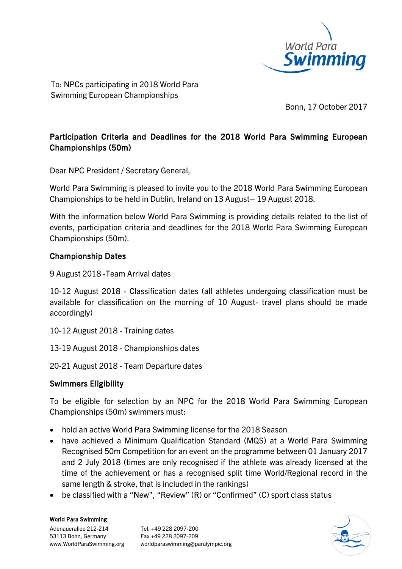

To: NPCs participating in 2018 World Para Swimming European Championships

Bonn, 17 October 2017

## Participation Criteria and Deadlines for the 2018 World Para Swimming European Championships (50m)

Dear NPC President / Secretary General,

World Para Swimming is pleased to invite you to the 2018 World Para Swimming European Championships to be held in Dublin, Ireland on 13 August– 19 August 2018.

With the information below World Para Swimming is providing details related to the list of events, participation criteria and deadlines for the 2018 World Para Swimming European Championships (50m).

### Championship Dates

9 August 2018 -Team Arrival dates

10-12 August 2018 - Classification dates (all athletes undergoing classification must be available for classification on the morning of 10 August- travel plans should be made accordingly)

- 10-12 August 2018 Training dates
- 13-19 August 2018 Championships dates
- 20-21 August 2018 Team Departure dates

#### Swimmers Eligibility

To be eligible for selection by an NPC for the 2018 World Para Swimming European Championships (50m) swimmers must:

- hold an active World Para Swimming license for the 2018 Season
- have achieved a Minimum Qualification Standard (MQS) at a World Para Swimming Recognised 50m Competition for an event on the programme between 01 January 2017 and 2 July 2018 (times are only recognised if the athlete was already licensed at the time of the achievement or has a recognised split time World/Regional record in the same length & stroke, that is included in the rankings)
- be classified with a "New", "Review" (R) or "Confirmed" (C) sport class status

#### World Para Swimming

Adenauerallee 212-214 Tel. +49 228 2097-200 53113 Bonn, Germany Fax +49 228 2097-209

www.WorldParaSwimming.org worldparaswimming@paralympic.org

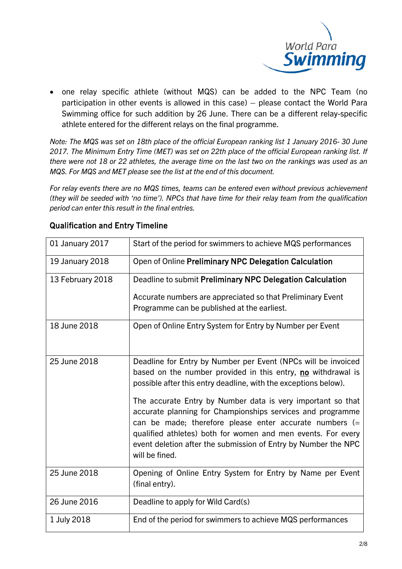

• one relay specific athlete (without MQS) can be added to the NPC Team (no participation in other events is allowed in this case) – please contact the World Para Swimming office for such addition by 26 June. There can be a different relay-specific athlete entered for the different relays on the final programme.

*Note: The MQS was set on 18th place of the official European ranking list 1 January 2016- 30 June 2017. The Minimum Entry Time (MET) was set on 22th place of the official European ranking list. If there were not 18 or 22 athletes, the average time on the last two on the rankings was used as an MQS. For MQS and MET please see the list at the end of this document.*

*For relay events there are no MQS times, teams can be entered even without previous achievement (they will be seeded with 'no time'). NPCs that have time for their relay team from the qualification period can enter this result in the final entries.*

| 01 January 2017  | Start of the period for swimmers to achieve MQS performances                                                                                                                                                                                                                                                                               |
|------------------|--------------------------------------------------------------------------------------------------------------------------------------------------------------------------------------------------------------------------------------------------------------------------------------------------------------------------------------------|
| 19 January 2018  | Open of Online Preliminary NPC Delegation Calculation                                                                                                                                                                                                                                                                                      |
| 13 February 2018 | Deadline to submit Preliminary NPC Delegation Calculation                                                                                                                                                                                                                                                                                  |
|                  | Accurate numbers are appreciated so that Preliminary Event<br>Programme can be published at the earliest.                                                                                                                                                                                                                                  |
| 18 June 2018     | Open of Online Entry System for Entry by Number per Event                                                                                                                                                                                                                                                                                  |
| 25 June 2018     | Deadline for Entry by Number per Event (NPCs will be invoiced<br>based on the number provided in this entry, no withdrawal is<br>possible after this entry deadline, with the exceptions below).                                                                                                                                           |
|                  | The accurate Entry by Number data is very important so that<br>accurate planning for Championships services and programme<br>can be made; therefore please enter accurate numbers $(=$<br>qualified athletes) both for women and men events. For every<br>event deletion after the submission of Entry by Number the NPC<br>will be fined. |
| 25 June 2018     | Opening of Online Entry System for Entry by Name per Event<br>(final entry).                                                                                                                                                                                                                                                               |
| 26 June 2016     | Deadline to apply for Wild Card(s)                                                                                                                                                                                                                                                                                                         |
| 1 July 2018      | End of the period for swimmers to achieve MQS performances                                                                                                                                                                                                                                                                                 |

#### Qualification and Entry Timeline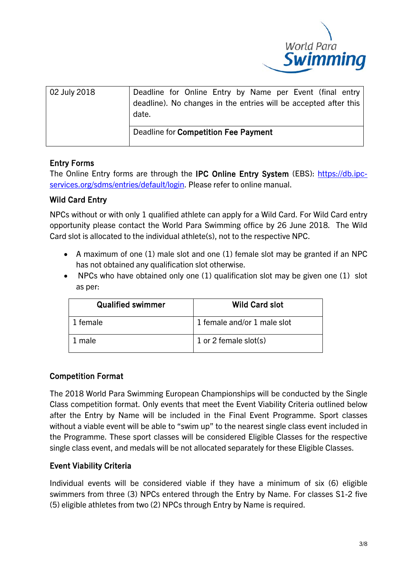

| 02 July 2018 | Deadline for Online Entry by Name per Event (final entry<br>deadline). No changes in the entries will be accepted after this<br>date. |  |  |  |  |  |  |
|--------------|---------------------------------------------------------------------------------------------------------------------------------------|--|--|--|--|--|--|
|              | Deadline for Competition Fee Payment                                                                                                  |  |  |  |  |  |  |

## Entry Forms

The Online Entry forms are through the IPC Online Entry System (EBS): [https://db.ipc](https://db.ipc-services.org/sdms/entries/default/login)[services.org/sdms/entries/default/login.](https://db.ipc-services.org/sdms/entries/default/login) Please refer to online manual.

### Wild Card Entry

NPCs without or with only 1 qualified athlete can apply for a Wild Card. For Wild Card entry opportunity please contact the World Para Swimming office by 26 June 2018. The Wild Card slot is allocated to the individual athlete(s), not to the respective NPC.

- A maximum of one (1) male slot and one (1) female slot may be granted if an NPC has not obtained any qualification slot otherwise.
- NPCs who have obtained only one (1) qualification slot may be given one (1) slot as per:

| <b>Qualified swimmer</b> | <b>Wild Card slot</b>       |  |  |
|--------------------------|-----------------------------|--|--|
| 1 female                 | 1 female and/or 1 male slot |  |  |
| male                     | 1 or 2 female slot(s)       |  |  |

### Competition Format

The 2018 World Para Swimming European Championships will be conducted by the Single Class competition format. Only events that meet the Event Viability Criteria outlined below after the Entry by Name will be included in the Final Event Programme. Sport classes without a viable event will be able to "swim up" to the nearest single class event included in the Programme. These sport classes will be considered Eligible Classes for the respective single class event, and medals will be not allocated separately for these Eligible Classes.

# Event Viability Criteria

Individual events will be considered viable if they have a minimum of six (6) eligible swimmers from three (3) NPCs entered through the Entry by Name. For classes S1-2 five (5) eligible athletes from two (2) NPCs through Entry by Name is required.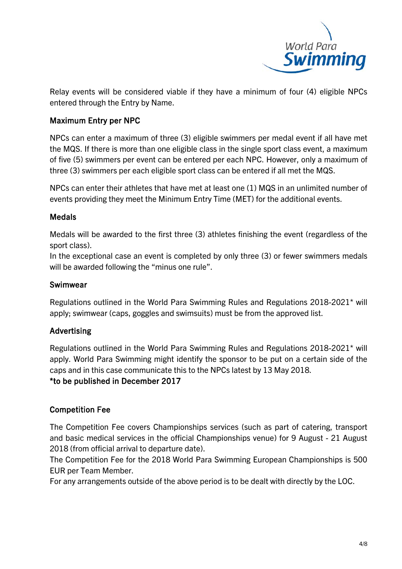

Relay events will be considered viable if they have a minimum of four (4) eligible NPCs entered through the Entry by Name.

### Maximum Entry per NPC

NPCs can enter a maximum of three (3) eligible swimmers per medal event if all have met the MQS. If there is more than one eligible class in the single sport class event, a maximum of five (5) swimmers per event can be entered per each NPC. However, only a maximum of three (3) swimmers per each eligible sport class can be entered if all met the MQS.

NPCs can enter their athletes that have met at least one (1) MQS in an unlimited number of events providing they meet the Minimum Entry Time (MET) for the additional events.

#### **Medals**

Medals will be awarded to the first three (3) athletes finishing the event (regardless of the sport class).

In the exceptional case an event is completed by only three (3) or fewer swimmers medals will be awarded following the "minus one rule".

#### Swimwear

Regulations outlined in the World Para Swimming Rules and Regulations 2018-2021\* will apply; swimwear (caps, goggles and swimsuits) must be from the approved list.

#### Advertising

Regulations outlined in the World Para Swimming Rules and Regulations 2018-2021\* will apply. World Para Swimming might identify the sponsor to be put on a certain side of the caps and in this case communicate this to the NPCs latest by 13 May 2018. \*to be published in December 2017

### Competition Fee

The Competition Fee covers Championships services (such as part of catering, transport and basic medical services in the official Championships venue) for 9 August - 21 August 2018 (from official arrival to departure date).

The Competition Fee for the 2018 World Para Swimming European Championships is 500 EUR per Team Member.

For any arrangements outside of the above period is to be dealt with directly by the LOC.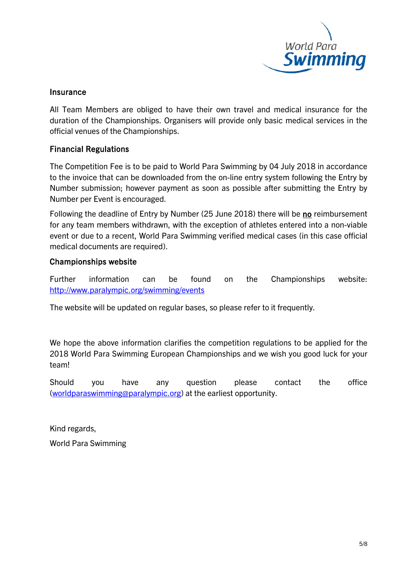

#### **Insurance**

All Team Members are obliged to have their own travel and medical insurance for the duration of the Championships. Organisers will provide only basic medical services in the official venues of the Championships.

### Financial Regulations

The Competition Fee is to be paid to World Para Swimming by 04 July 2018 in accordance to the invoice that can be downloaded from the on-line entry system following the Entry by Number submission; however payment as soon as possible after submitting the Entry by Number per Event is encouraged.

Following the deadline of Entry by Number (25 June 2018) there will be no reimbursement for any team members withdrawn, with the exception of athletes entered into a non-viable event or due to a recent, World Para Swimming verified medical cases (in this case official medical documents are required).

#### Championships website

Further information can be found on the Championships website: <http://www.paralympic.org/swimming/events>

The website will be updated on regular bases, so please refer to it frequently.

We hope the above information clarifies the competition regulations to be applied for the 2018 World Para Swimming European Championships and we wish you good luck for your team!

Should you have any question please contact the office [\(worldparaswimming@paralympic.org\)](mailto:worldparaswimming@paralympic.org) at the earliest opportunity.

Kind regards,

World Para Swimming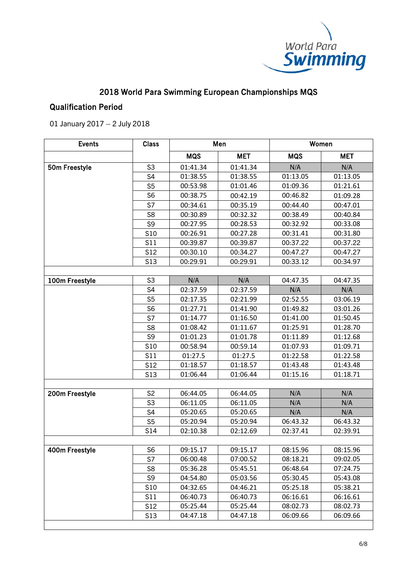

# 2018 World Para Swimming European Championships MQS

### Qualification Period

01 January 2017 – 2 July 2018

| <b>Events</b>  | <b>Class</b>   | Men        |            | Women      |            |
|----------------|----------------|------------|------------|------------|------------|
|                |                | <b>MQS</b> | <b>MET</b> | <b>MQS</b> | <b>MET</b> |
| 50m Freestyle  | S <sub>3</sub> | 01:41.34   | 01:41.34   | N/A        | N/A        |
|                | S <sub>4</sub> | 01:38.55   | 01:38.55   | 01:13.05   | 01:13.05   |
|                | S <sub>5</sub> | 00:53.98   | 01:01.46   | 01:09.36   | 01:21.61   |
|                | S <sub>6</sub> | 00:38.75   | 00:42.19   | 00:46.82   | 01:09.28   |
|                | S7             | 00:34.61   | 00:35.19   | 00:44.40   | 00:47.01   |
|                | S <sub>8</sub> | 00:30.89   | 00:32.32   | 00:38.49   | 00:40.84   |
|                | S <sub>9</sub> | 00:27.95   | 00:28.53   | 00:32.92   | 00:33.08   |
|                | S10            | 00:26.91   | 00:27.28   | 00:31.41   | 00:31.80   |
|                | <b>S11</b>     | 00:39.87   | 00:39.87   | 00:37.22   | 00:37.22   |
|                | <b>S12</b>     | 00:30.10   | 00:34.27   | 00:47.27   | 00:47.27   |
|                | <b>S13</b>     | 00:29.91   | 00:29.91   | 00:33.12   | 00:34.97   |
|                |                |            |            |            |            |
| 100m Freestyle | S <sub>3</sub> | N/A        | N/A        | 04:47.35   | 04:47.35   |
|                | S <sub>4</sub> | 02:37.59   | 02:37.59   | N/A        | N/A        |
|                | S <sub>5</sub> | 02:17.35   | 02:21.99   | 02:52.55   | 03:06.19   |
|                | S <sub>6</sub> | 01:27.71   | 01:41.90   | 01:49.82   | 03:01.26   |
|                | S7             | 01:14.77   | 01:16.50   | 01:41.00   | 01:50.45   |
|                | S <sub>8</sub> | 01:08.42   | 01:11.67   | 01:25.91   | 01:28.70   |
|                | S <sub>9</sub> | 01:01.23   | 01:01.78   | 01:11.89   | 01:12.68   |
|                | S10            | 00:58.94   | 00:59.14   | 01:07.93   | 01:09.71   |
|                | S11            | 01:27.5    | 01:27.5    | 01:22.58   | 01:22.58   |
|                | S12            | 01:18.57   | 01:18.57   | 01:43.48   | 01:43.48   |
|                | <b>S13</b>     | 01:06.44   | 01:06.44   | 01:15.16   | 01:18.71   |
|                |                |            |            |            |            |
| 200m Freestyle | S <sub>2</sub> | 06:44.05   | 06:44.05   | N/A        | N/A        |
|                | S <sub>3</sub> | 06:11.05   | 06:11.05   | N/A        | N/A        |
|                | S <sub>4</sub> | 05:20.65   | 05:20.65   | N/A        | N/A        |
|                | S <sub>5</sub> | 05:20.94   | 05:20.94   | 06:43.32   | 06:43.32   |
|                | S14            | 02:10.38   | 02:12.69   | 02:37.41   | 02:39.91   |
|                |                |            |            |            |            |
| 400m Freestyle | S <sub>6</sub> | 09:15.17   | 09:15.17   | 08:15.96   | 08:15.96   |
|                | S7             | 06:00.48   | 07:00.52   | 08:18.21   | 09:02.05   |
|                | S <sub>8</sub> | 05:36.28   | 05:45.51   | 06:48.64   | 07:24.75   |
|                | S <sub>9</sub> | 04:54.80   | 05:03.56   | 05:30.45   | 05:43.08   |
|                | S10            | 04:32.65   | 04:46.21   | 05:25.18   | 05:38.21   |
|                | S11            | 06:40.73   | 06:40.73   | 06:16.61   | 06:16.61   |
|                | S12            | 05:25.44   | 05:25.44   | 08:02.73   | 08:02.73   |
|                | <b>S13</b>     | 04:47.18   | 04:47.18   | 06:09.66   | 06:09.66   |
|                |                |            |            |            |            |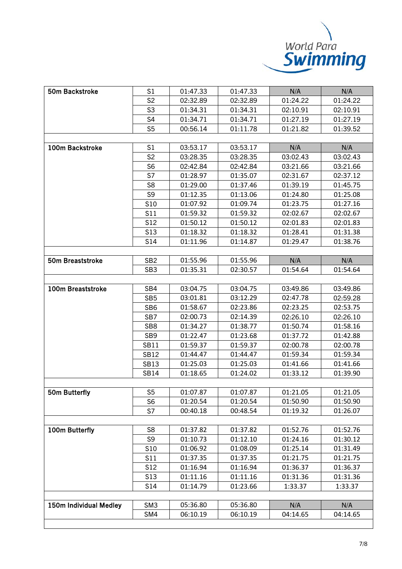

| 50m Backstroke         | S1              | 01:47.33 | 01:47.33 | N/A      | N/A      |  |
|------------------------|-----------------|----------|----------|----------|----------|--|
|                        | S <sub>2</sub>  | 02:32.89 | 02:32.89 | 01:24.22 | 01:24.22 |  |
|                        | S <sub>3</sub>  | 01:34.31 | 01:34.31 | 02:10.91 | 02:10.91 |  |
|                        | S4              | 01:34.71 | 01:34.71 | 01:27.19 | 01:27.19 |  |
|                        | S <sub>5</sub>  | 00:56.14 | 01:11.78 | 01:21.82 | 01:39.52 |  |
|                        |                 |          |          |          |          |  |
| 100m Backstroke        | S <sub>1</sub>  | 03:53.17 | 03:53.17 | N/A      | N/A      |  |
|                        | S <sub>2</sub>  | 03:28.35 | 03:28.35 | 03:02.43 | 03:02.43 |  |
|                        | S <sub>6</sub>  | 02:42.84 | 02:42.84 | 03:21.66 | 03:21.66 |  |
|                        | S7              | 01:28.97 | 01:35.07 | 02:31.67 | 02:37.12 |  |
|                        | S <sub>8</sub>  | 01:29.00 | 01:37.46 | 01:39.19 | 01:45.75 |  |
|                        | S9              | 01:12.35 | 01:13.06 | 01:24.80 | 01:25.08 |  |
|                        | S <sub>10</sub> | 01:07.92 | 01:09.74 | 01:23.75 | 01:27.16 |  |
|                        | S11             | 01:59.32 | 01:59.32 | 02:02.67 | 02:02.67 |  |
|                        | S12             | 01:50.12 | 01:50.12 | 02:01.83 | 02:01.83 |  |
|                        | S <sub>13</sub> | 01:18.32 | 01:18.32 | 01:28.41 | 01:31.38 |  |
|                        | S14             | 01:11.96 | 01:14.87 | 01:29.47 | 01:38.76 |  |
|                        |                 |          |          |          |          |  |
| 50m Breaststroke       | SB <sub>2</sub> | 01:55.96 | 01:55.96 | N/A      | N/A      |  |
|                        | SB <sub>3</sub> | 01:35.31 | 02:30.57 | 01:54.64 | 01:54.64 |  |
|                        |                 |          |          |          |          |  |
| 100m Breaststroke      | SB4             | 03:04.75 | 03:04.75 | 03:49.86 | 03:49.86 |  |
|                        | SB <sub>5</sub> | 03:01.81 | 03:12.29 | 02:47.78 | 02:59.28 |  |
|                        | SB <sub>6</sub> | 01:58.67 | 02:23.86 | 02:23.25 | 02:53.75 |  |
|                        | SB7             | 02:00.73 | 02:14.39 | 02:26.10 | 02:26.10 |  |
|                        | SB <sub>8</sub> | 01:34.27 | 01:38.77 | 01:50.74 | 01:58.16 |  |
|                        | SB <sub>9</sub> | 01:22.47 | 01:23.68 | 01:37.72 | 01:42.88 |  |
|                        | <b>SB11</b>     | 01:59.37 | 01:59.37 | 02:00.78 | 02:00.78 |  |
|                        | <b>SB12</b>     | 01:44.47 | 01:44.47 | 01:59.34 | 01:59.34 |  |
|                        | <b>SB13</b>     | 01:25.03 | 01:25.03 | 01:41.66 | 01:41.66 |  |
|                        | <b>SB14</b>     | 01:18.65 | 01:24.02 | 01:33.12 | 01:39.90 |  |
|                        |                 |          |          |          |          |  |
| 50m Butterfly          | S <sub>5</sub>  | 01:07.87 | 01:07.87 | 01:21.05 | 01:21.05 |  |
|                        | S <sub>6</sub>  | 01:20.54 | 01:20.54 | 01:50.90 | 01:50.90 |  |
|                        | S7              | 00:40.18 | 00:48.54 | 01:19.32 | 01:26.07 |  |
|                        |                 |          |          |          |          |  |
| 100m Butterfly         | S <sub>8</sub>  | 01:37.82 | 01:37.82 | 01:52.76 | 01:52.76 |  |
|                        | S <sub>9</sub>  | 01:10.73 | 01:12.10 | 01:24.16 | 01:30.12 |  |
|                        | S10             | 01:06.92 | 01:08.09 | 01:25.14 | 01:31.49 |  |
|                        | S11             | 01:37.35 | 01:37.35 | 01:21.75 | 01:21.75 |  |
|                        | S12             | 01:16.94 | 01:16.94 | 01:36.37 | 01:36.37 |  |
|                        | S13             | 01:11.16 | 01:11.16 | 01:31.36 | 01:31.36 |  |
|                        | S14             | 01:14.79 | 01:23.66 | 1:33.37  | 1:33.37  |  |
|                        |                 |          |          |          |          |  |
| 150m Individual Medley | SM <sub>3</sub> | 05:36.80 | 05:36.80 | N/A      | N/A      |  |
|                        | SM4             | 06:10.19 | 06:10.19 | 04:14.65 | 04:14.65 |  |

i